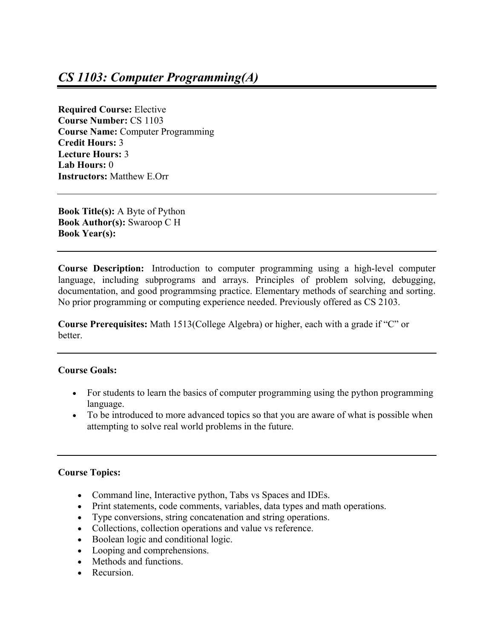**Required Course:** Elective **Course Number:** CS 1103 **Course Name:** Computer Programming **Credit Hours:** 3 **Lecture Hours:** 3 **Lab Hours:** 0 **Instructors:** Matthew E.Orr

**Book Title(s):** A Byte of Python **Book Author(s):** Swaroop C H **Book Year(s):**

**Course Description:** Introduction to computer programming using a high-level computer language, including subprograms and arrays. Principles of problem solving, debugging, documentation, and good programmsing practice. Elementary methods of searching and sorting. No prior programming or computing experience needed. Previously offered as CS 2103.

**Course Prerequisites:** Math 1513(College Algebra) or higher, each with a grade if "C" or better.

## **Course Goals:**

- For students to learn the basics of computer programming using the python programming language.
- To be introduced to more advanced topics so that you are aware of what is possible when attempting to solve real world problems in the future.

## **Course Topics:**

- Command line, Interactive python, Tabs vs Spaces and IDEs.
- Print statements, code comments, variables, data types and math operations.
- Type conversions, string concatenation and string operations.
- Collections, collection operations and value vs reference.
- Boolean logic and conditional logic.
- Looping and comprehensions.
- Methods and functions.
- Recursion.